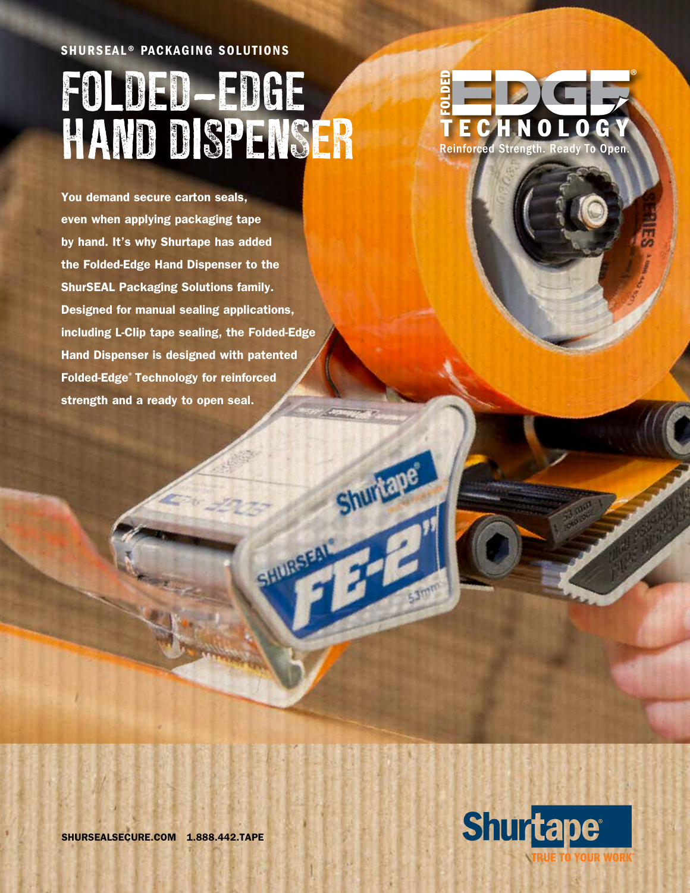## SHURSEAL® PACKAGING SOLUTIONS FOLDED-EDGE HAND DISPENSER



You demand secure carton seals, even when applying packaging tape by hand. It's why Shurtape has added the Folded-Edge Hand Dispenser to the ShurSEAL Packaging Solutions family. Designed for manual sealing applications, including L-Clip tape sealing, the Folded-Edge Hand Dispenser is designed with patented Folded-Edge® Technology for reinforced strength and a ready to open seal.

Shuriau

SHURSEAL